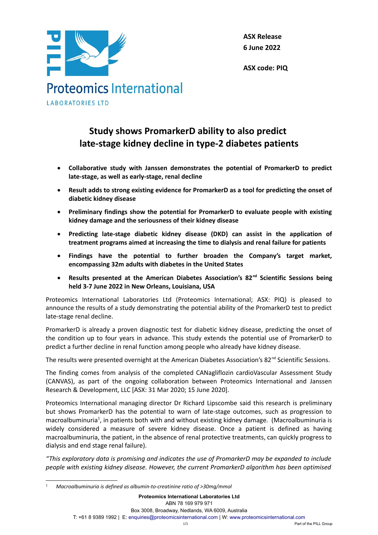

**ASX Release 6 June 2022**

**ASX code: PIQ**

### **Study shows PromarkerD ability to also predict late-stage kidney decline in type-2 diabetes patients**

- **Collaborative study with Janssen demonstrates the potential of PromarkerD to predict late-stage, as well as early-stage, renal decline**
- **Result adds to strong existing evidence for PromarkerD as a tool for predicting the onset of diabetic kidney disease**
- **Preliminary findings show the potential for PromarkerD to evaluate people with existing kidney damage and the seriousness of their kidney disease**
- **Predicting late-stage diabetic kidney disease (DKD) can assist in the application of treatment programs aimed at increasing the time to dialysis and renal failure for patients**
- **Findings have the potential to further broaden the Company's target market, encompassing 32m adults with diabetes in the United States**
- **Results presented at the American Diabetes Association's 82nd Scientific Sessions being held 3-7 June 2022 in New Orleans, Louisiana, USA**

Proteomics International Laboratories Ltd (Proteomics International; ASX: PIQ) is pleased to announce the results of a study demonstrating the potential ability of the PromarkerD test to predict late-stage renal decline.

PromarkerD is already a proven diagnostic test for diabetic kidney disease, predicting the onset of the condition up to four years in advance. This study extends the potential use of PromarkerD to predict a further decline in renal function among people who already have kidney disease.

The results were presented overnight at the American Diabetes Association's 82<sup>nd</sup> Scientific Sessions.

The finding comes from analysis of the completed CANagliflozin cardioVascular Assessment Study (CANVAS), as part of the ongoing collaboration between Proteomics International and Janssen Research & Development, LLC [ASX: 31 Mar 2020; 15 June 2020].

Proteomics International managing director Dr Richard Lipscombe said this research is preliminary but shows PromarkerD has the potential to warn of late-stage outcomes, such as progression to macroalbuminuria<sup>[1](#page-0-0)</sup>, in patients both with and without existing kidney damage. (Macroalbuminuria is widely considered a measure of severe kidney disease. Once a patient is defined as having macroalbuminuria, the patient, in the absence of renal protective treatments, can quickly progress to dialysis and end stage renal failure).

*"This exploratory data is promising and indicates the use of PromarkerD may be expanded to include people with existing kidney disease. However, the current PromarkerD algorithm has been optimised*

<span id="page-0-0"></span><sup>1</sup> *Macroalbuminuria is defined as albumin-to-creatinine ratio of >30mg/mmol*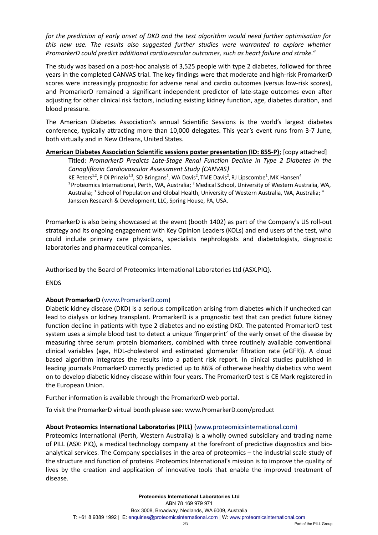*for the prediction of early onset of DKD and the test algorithm would need further optimisation for this new use. The results also suggested further studies were warranted to explore whether PromarkerD could predict additional cardiovascular outcomes, such as heart failure and stroke."*

The study was based on a post-hoc analysis of 3,525 people with type 2 diabetes, followed for three years in the completed CANVAS trial. The key findings were that moderate and high-risk PromarkerD scores were increasingly prognostic for adverse renal and cardio outcomes (versus low-risk scores), and PromarkerD remained a significant independent predictor of late-stage outcomes even after adjusting for other clinical risk factors, including existing kidney function, age, diabetes duration, and blood pressure.

The American Diabetes Association's annual Scientific Sessions is the world's largest diabetes conference, typically attracting more than 10,000 delegates. This year's event runs from 3-7 June, both virtually and in New Orleans, United States.

### **American Diabetes Association Scientific sessions poster presentation (ID: 855-P)**; [copy attached]

Titled: *PromarkerD Predicts Late-Stage Renal Function Decline in Type 2 Diabetes in the Canagliflozin Cardiovascular Assessment Study (CANVAS)*

KE Peters<sup>1,2</sup>, P Di Prinzio<sup>1,3</sup>, SD Bringans<sup>1</sup>, WA Davis<sup>2</sup>, TME Davis<sup>2</sup>, RJ Lipscombe<sup>1</sup>, MK Hansen<sup>4</sup> <sup>1</sup> Proteomics International, Perth, WA, Australia; <sup>2</sup> Medical School, University of Western Australia, WA, Australia; <sup>3</sup> School of Population and Global Health, University of Western Australia, WA, Australia; <sup>4</sup> Janssen Research & Development, LLC, Spring House, PA, USA.

PromarkerD is also being showcased at the event (booth 1402) as part of the Company's US roll-out strategy and its ongoing engagement with Key Opinion Leaders (KOLs) and end users of the test, who could include primary care physicians, specialists nephrologists and diabetologists, diagnostic laboratories and pharmaceutical companies.

Authorised by the Board of Proteomics International Laboratories Ltd (ASX.PIQ).

**ENDS** 

### **About PromarkerD** (www.PromarkerD.com)

Diabetic kidney disease (DKD) is a serious complication arising from diabetes which if unchecked can lead to dialysis or kidney transplant. PromarkerD is a prognostic test that can predict future kidney function decline in patients with type 2 diabetes and no existing DKD. The patented PromarkerD test system uses a simple blood test to detect a unique 'fingerprint' of the early onset of the disease by measuring three serum protein biomarkers, combined with three routinely available conventional clinical variables (age, HDL-cholesterol and estimated glomerular filtration rate (eGFR)). A cloud based algorithm integrates the results into a patient risk report. In clinical studies published in leading journals PromarkerD correctly predicted up to 86% of otherwise healthy diabetics who went on to develop diabetic kidney disease within four years. The PromarkerD test is CE Mark registered in the European Union.

Further information is available through the PromarkerD web portal.

To visit the PromarkerD virtual booth please see: www.PromarkerD.com/product

### **About Proteomics International Laboratories (PILL)** (www.proteomicsinternational.com)

Proteomics International (Perth, Western Australia) is a wholly owned subsidiary and trading name of PILL (ASX: PIQ), a medical technology company at the forefront of predictive diagnostics and bioanalytical services. The Company specialises in the area of proteomics – the industrial scale study of the structure and function of proteins. Proteomics International's mission is to improve the quality of lives by the creation and application of innovative tools that enable the improved treatment of disease.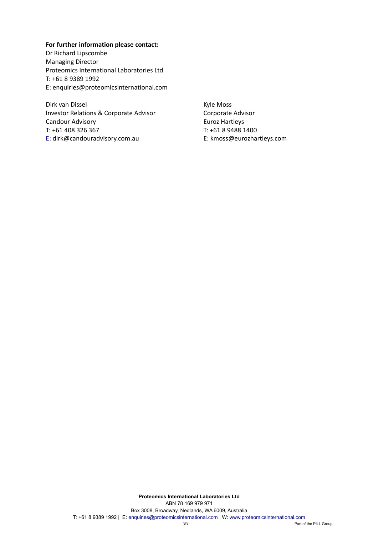### **For further information please contact:**

Dr Richard Lipscombe Managing Director Proteomics International Laboratories Ltd T: +61 8 9389 1992 E: enquiries@proteomicsinternational.com

Dirk van Dissel Kyle Moss Investor Relations & Corporate Advisor Corporate Advisor Candour Advisory **Euroz Hartleys** T: +61 408 326 367 T: +61 8 9488 1400 E: dirk@candouradvisory.com.au E: kmoss@eurozhartleys.com